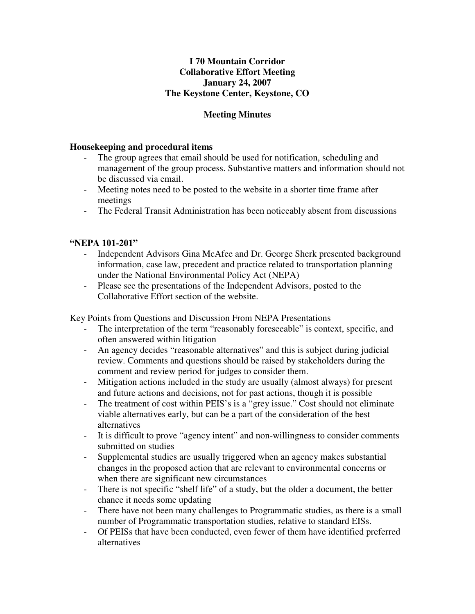## **I 70 Mountain Corridor Collaborative Effort Meeting January 24, 2007 The Keystone Center, Keystone, CO**

## **Meeting Minutes**

### **Housekeeping and procedural items**

- The group agrees that email should be used for notification, scheduling and management of the group process. Substantive matters and information should not be discussed via email.
- Meeting notes need to be posted to the website in a shorter time frame after meetings
- The Federal Transit Administration has been noticeably absent from discussions

#### **"NEPA 101-201"**

- Independent Advisors Gina McAfee and Dr. George Sherk presented background information, case law, precedent and practice related to transportation planning under the National Environmental Policy Act (NEPA)
- Please see the presentations of the Independent Advisors, posted to the Collaborative Effort section of the website.

Key Points from Questions and Discussion From NEPA Presentations

- The interpretation of the term "reasonably foreseeable" is context, specific, and often answered within litigation
- An agency decides "reasonable alternatives" and this is subject during judicial review. Comments and questions should be raised by stakeholders during the comment and review period for judges to consider them.
- Mitigation actions included in the study are usually (almost always) for present and future actions and decisions, not for past actions, though it is possible
- The treatment of cost within PEIS's is a "grey issue." Cost should not eliminate viable alternatives early, but can be a part of the consideration of the best alternatives
- It is difficult to prove "agency intent" and non-willingness to consider comments submitted on studies
- Supplemental studies are usually triggered when an agency makes substantial changes in the proposed action that are relevant to environmental concerns or when there are significant new circumstances
- There is not specific "shelf life" of a study, but the older a document, the better chance it needs some updating
- There have not been many challenges to Programmatic studies, as there is a small number of Programmatic transportation studies, relative to standard EISs.
- Of PEISs that have been conducted, even fewer of them have identified preferred alternatives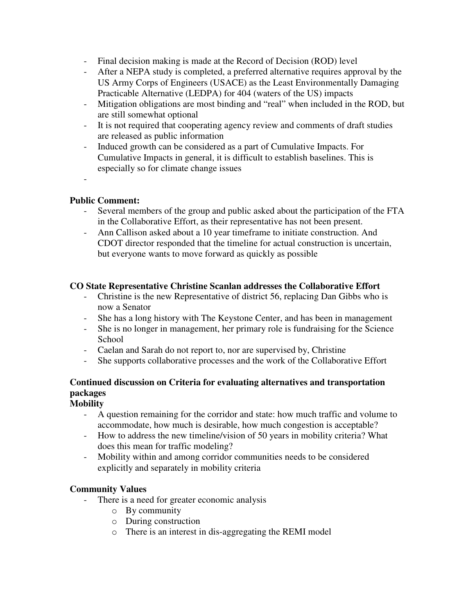- Final decision making is made at the Record of Decision (ROD) level
- After a NEPA study is completed, a preferred alternative requires approval by the US Army Corps of Engineers (USACE) as the Least Environmentally Damaging Practicable Alternative (LEDPA) for 404 (waters of the US) impacts
- Mitigation obligations are most binding and "real" when included in the ROD, but are still somewhat optional
- It is not required that cooperating agency review and comments of draft studies are released as public information
- Induced growth can be considered as a part of Cumulative Impacts. For Cumulative Impacts in general, it is difficult to establish baselines. This is especially so for climate change issues
- -

## **Public Comment:**

- Several members of the group and public asked about the participation of the FTA in the Collaborative Effort, as their representative has not been present.
- Ann Callison asked about a 10 year timeframe to initiate construction. And CDOT director responded that the timeline for actual construction is uncertain, but everyone wants to move forward as quickly as possible

## **CO State Representative Christine Scanlan addresses the Collaborative Effort**

- Christine is the new Representative of district 56, replacing Dan Gibbs who is now a Senator
- She has a long history with The Keystone Center, and has been in management
- She is no longer in management, her primary role is fundraising for the Science School
- Caelan and Sarah do not report to, nor are supervised by, Christine
- She supports collaborative processes and the work of the Collaborative Effort

# **Continued discussion on Criteria for evaluating alternatives and transportation packages**

## **Mobility**

- A question remaining for the corridor and state: how much traffic and volume to accommodate, how much is desirable, how much congestion is acceptable?
- How to address the new timeline/vision of 50 years in mobility criteria? What does this mean for traffic modeling?
- Mobility within and among corridor communities needs to be considered explicitly and separately in mobility criteria

# **Community Values**

- There is a need for greater economic analysis
	- o By community
	- o During construction
	- o There is an interest in dis-aggregating the REMI model